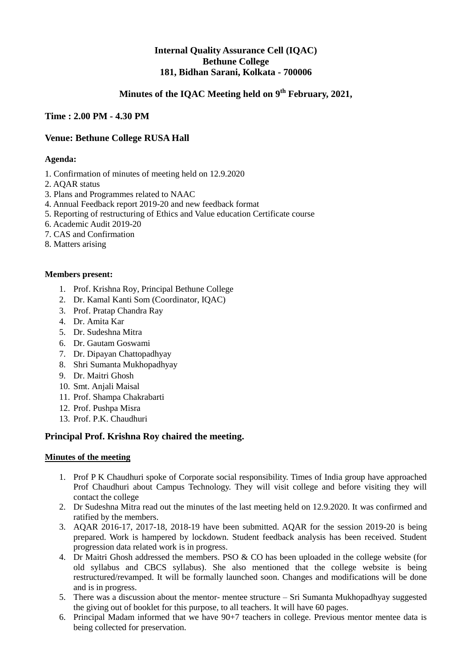# **Internal Quality Assurance Cell (IQAC) Bethune College 181, Bidhan Sarani, Kolkata - 700006**

# **Minutes of the IQAC Meeting held on 9th February, 2021,**

## **Time : 2.00 PM - 4.30 PM**

## **Venue: Bethune College RUSA Hall**

#### **Agenda:**

- 1. Confirmation of minutes of meeting held on 12.9.2020
- 2. AQAR status
- 3. Plans and Programmes related to NAAC
- 4. Annual Feedback report 2019-20 and new feedback format
- 5. Reporting of restructuring of Ethics and Value education Certificate course
- 6. Academic Audit 2019-20
- 7. CAS and Confirmation
- 8. Matters arising

#### **Members present:**

- 1. Prof. Krishna Roy, Principal Bethune College
- 2. Dr. Kamal Kanti Som (Coordinator, IQAC)
- 3. Prof. Pratap Chandra Ray
- 4. Dr. Amita Kar
- 5. Dr. Sudeshna Mitra
- 6. Dr. Gautam Goswami
- 7. Dr. Dipayan Chattopadhyay
- 8. Shri Sumanta Mukhopadhyay
- 9. Dr. Maitri Ghosh
- 10. Smt. Anjali Maisal
- 11. Prof. Shampa Chakrabarti
- 12. Prof. Pushpa Misra
- 13. Prof. P.K. Chaudhuri

### **Principal Prof. Krishna Roy chaired the meeting.**

#### **Minutes of the meeting**

- 1. Prof P K Chaudhuri spoke of Corporate social responsibility. Times of India group have approached Prof Chaudhuri about Campus Technology. They will visit college and before visiting they will contact the college
- 2. Dr Sudeshna Mitra read out the minutes of the last meeting held on 12.9.2020. It was confirmed and ratified by the members.
- 3. AQAR 2016-17, 2017-18, 2018-19 have been submitted. AQAR for the session 2019-20 is being prepared. Work is hampered by lockdown. Student feedback analysis has been received. Student progression data related work is in progress.
- 4. Dr Maitri Ghosh addressed the members. PSO & CO has been uploaded in the college website (for old syllabus and CBCS syllabus). She also mentioned that the college website is being restructured/revamped. It will be formally launched soon. Changes and modifications will be done and is in progress.
- 5. There was a discussion about the mentor- mentee structure Sri Sumanta Mukhopadhyay suggested the giving out of booklet for this purpose, to all teachers. It will have 60 pages.
- 6. Principal Madam informed that we have 90+7 teachers in college. Previous mentor mentee data is being collected for preservation.